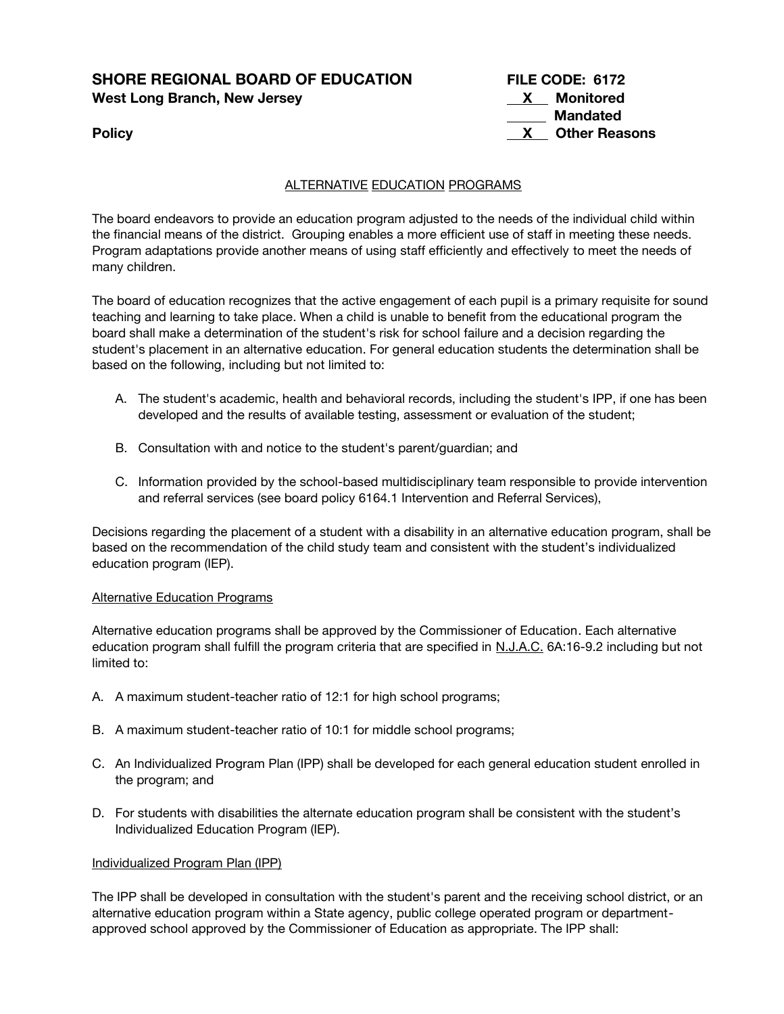# **SHORE REGIONAL BOARD OF EDUCATION FILE CODE: 6172 West Long Branch, New Jersey**

| SHORE REGIONAL BOARD OF EDUCATION | FILE CODE: 6172      |  |
|-----------------------------------|----------------------|--|
| West Long Branch, New Jersey      | Monitored            |  |
|                                   | Mandated             |  |
| <b>Policy</b>                     | <b>Other Reasons</b> |  |

# ALTERNATIVE EDUCATION PROGRAMS

The board endeavors to provide an education program adjusted to the needs of the individual child within the financial means of the district. Grouping enables a more efficient use of staff in meeting these needs. Program adaptations provide another means of using staff efficiently and effectively to meet the needs of many children.

The board of education recognizes that the active engagement of each pupil is a primary requisite for sound teaching and learning to take place. When a child is unable to benefit from the educational program the board shall make a determination of the student's risk for school failure and a decision regarding the student's placement in an alternative education. For general education students the determination shall be based on the following, including but not limited to:

- A. The student's academic, health and behavioral records, including the student's IPP, if one has been developed and the results of available testing, assessment or evaluation of the student;
- B. Consultation with and notice to the student's parent/guardian; and
- C. Information provided by the school-based multidisciplinary team responsible to provide intervention and referral services (see board policy 6164.1 Intervention and Referral Services),

Decisions regarding the placement of a student with a disability in an alternative education program, shall be based on the recommendation of the child study team and consistent with the student's individualized education program (IEP).

#### Alternative Education Programs

Alternative education programs shall be approved by the Commissioner of Education. Each alternative education program shall fulfill the program criteria that are specified in N.J.A.C. 6A:16-9.2 including but not limited to:

- A. A maximum student-teacher ratio of 12:1 for high school programs;
- B. A maximum student-teacher ratio of 10:1 for middle school programs;
- C. An Individualized Program Plan (IPP) shall be developed for each general education student enrolled in the program; and
- D. For students with disabilities the alternate education program shall be consistent with the student's Individualized Education Program (IEP).

# Individualized Program Plan (IPP)

The IPP shall be developed in consultation with the student's parent and the receiving school district, or an alternative education program within a State agency, public college operated program or departmentapproved school approved by the Commissioner of Education as appropriate. The IPP shall: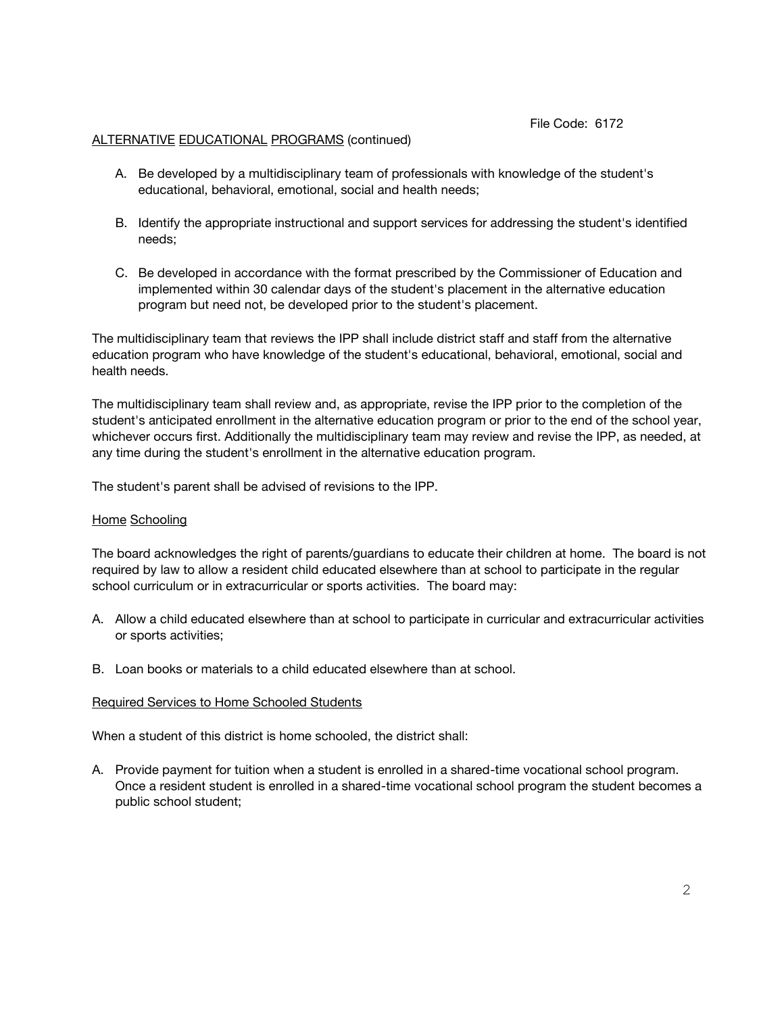File Code: 6172

#### ALTERNATIVE EDUCATIONAL PROGRAMS (continued)

- A. Be developed by a multidisciplinary team of professionals with knowledge of the student's educational, behavioral, emotional, social and health needs;
- B. Identify the appropriate instructional and support services for addressing the student's identified needs;
- C. Be developed in accordance with the format prescribed by the Commissioner of Education and implemented within 30 calendar days of the student's placement in the alternative education program but need not, be developed prior to the student's placement.

The multidisciplinary team that reviews the IPP shall include district staff and staff from the alternative education program who have knowledge of the student's educational, behavioral, emotional, social and health needs.

The multidisciplinary team shall review and, as appropriate, revise the IPP prior to the completion of the student's anticipated enrollment in the alternative education program or prior to the end of the school year, whichever occurs first. Additionally the multidisciplinary team may review and revise the IPP, as needed, at any time during the student's enrollment in the alternative education program.

The student's parent shall be advised of revisions to the IPP.

#### Home Schooling

The board acknowledges the right of parents/guardians to educate their children at home. The board is not required by law to allow a resident child educated elsewhere than at school to participate in the regular school curriculum or in extracurricular or sports activities. The board may:

- A. Allow a child educated elsewhere than at school to participate in curricular and extracurricular activities or sports activities;
- B. Loan books or materials to a child educated elsewhere than at school.

#### Required Services to Home Schooled Students

When a student of this district is home schooled, the district shall:

A. Provide payment for tuition when a student is enrolled in a shared-time vocational school program. Once a resident student is enrolled in a shared-time vocational school program the student becomes a public school student;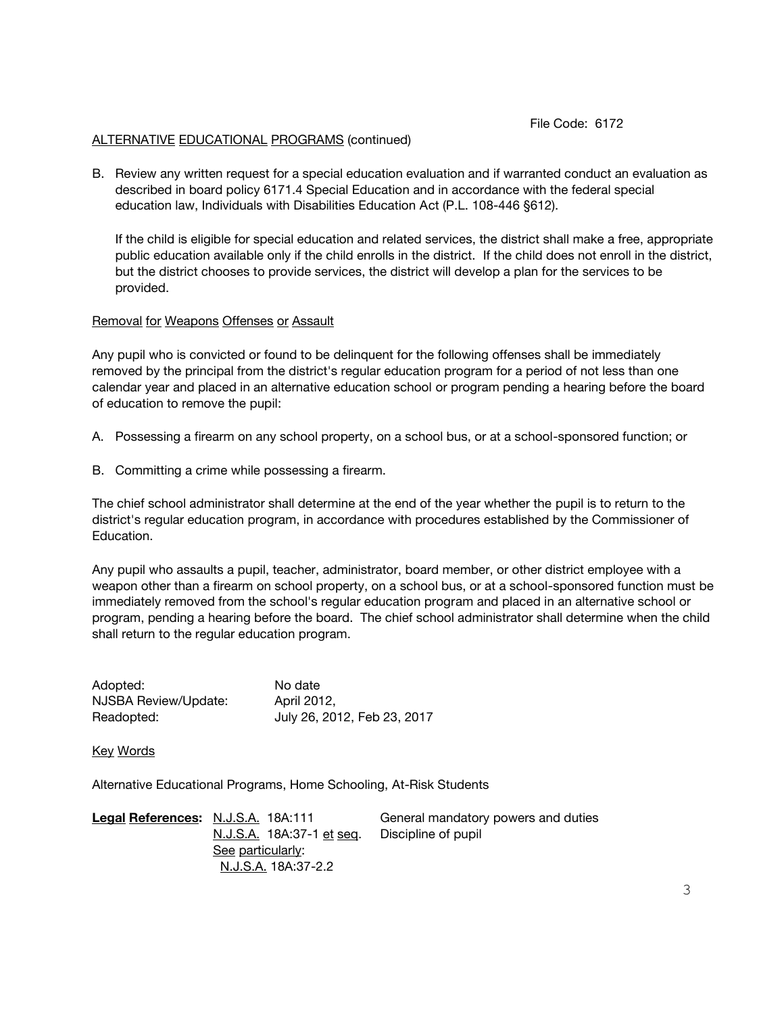#### File Code: 6172

## ALTERNATIVE EDUCATIONAL PROGRAMS (continued)

B. Review any written request for a special education evaluation and if warranted conduct an evaluation as described in board policy 6171.4 Special Education and in accordance with the federal special education law, Individuals with Disabilities Education Act (P.L. 108-446 §612).

If the child is eligible for special education and related services, the district shall make a free, appropriate public education available only if the child enrolls in the district. If the child does not enroll in the district, but the district chooses to provide services, the district will develop a plan for the services to be provided.

## Removal for Weapons Offenses or Assault

Any pupil who is convicted or found to be delinquent for the following offenses shall be immediately removed by the principal from the district's regular education program for a period of not less than one calendar year and placed in an alternative education school or program pending a hearing before the board of education to remove the pupil:

- A. Possessing a firearm on any school property, on a school bus, or at a school-sponsored function; or
- B. Committing a crime while possessing a firearm.

The chief school administrator shall determine at the end of the year whether the pupil is to return to the district's regular education program, in accordance with procedures established by the Commissioner of Education.

Any pupil who assaults a pupil, teacher, administrator, board member, or other district employee with a weapon other than a firearm on school property, on a school bus, or at a school-sponsored function must be immediately removed from the school's regular education program and placed in an alternative school or program, pending a hearing before the board. The chief school administrator shall determine when the child shall return to the regular education program.

| Adopted:             | No date                     |
|----------------------|-----------------------------|
| NJSBA Review/Update: | April 2012,                 |
| Readopted:           | July 26, 2012, Feb 23, 2017 |

Key Words

Alternative Educational Programs, Home Schooling, At-Risk Students

**Legal References:** N.J.S.A. 18A:111 General mandatory powers and duties N.J.S.A. 18A:37-1 et seq. Discipline of pupil See particularly: N.J.S.A. 18A:37-2.2